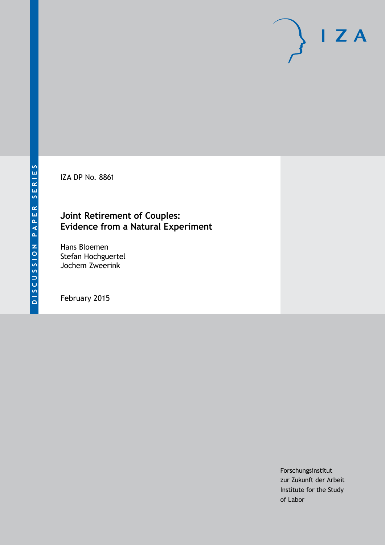IZA DP No. 8861

# **Joint Retirement of Couples: Evidence from a Natural Experiment**

Hans Bloemen Stefan Hochguertel Jochem Zweerink

February 2015

Forschungsinstitut zur Zukunft der Arbeit Institute for the Study of Labor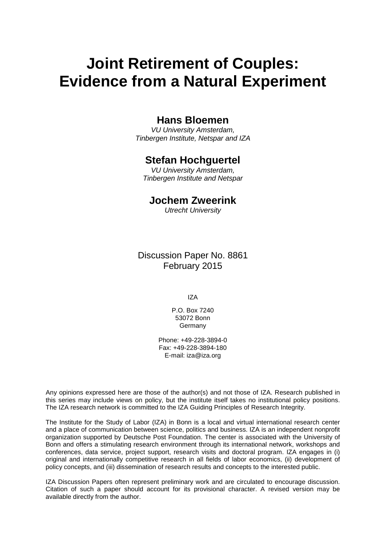# **Joint Retirement of Couples: Evidence from a Natural Experiment**

# **Hans Bloemen**

*VU University Amsterdam, Tinbergen Institute, Netspar and IZA*

# **Stefan Hochguertel**

*VU University Amsterdam, Tinbergen Institute and Netspar*

# **Jochem Zweerink**

*Utrecht University*

Discussion Paper No. 8861 February 2015

IZA

P.O. Box 7240 53072 Bonn Germany

Phone: +49-228-3894-0 Fax: +49-228-3894-180 E-mail: [iza@iza.org](mailto:iza@iza.org)

Any opinions expressed here are those of the author(s) and not those of IZA. Research published in this series may include views on policy, but the institute itself takes no institutional policy positions. The IZA research network is committed to the IZA Guiding Principles of Research Integrity.

The Institute for the Study of Labor (IZA) in Bonn is a local and virtual international research center and a place of communication between science, politics and business. IZA is an independent nonprofit organization supported by Deutsche Post Foundation. The center is associated with the University of Bonn and offers a stimulating research environment through its international network, workshops and conferences, data service, project support, research visits and doctoral program. IZA engages in (i) original and internationally competitive research in all fields of labor economics, (ii) development of policy concepts, and (iii) dissemination of research results and concepts to the interested public.

<span id="page-1-0"></span>IZA Discussion Papers often represent preliminary work and are circulated to encourage discussion. Citation of such a paper should account for its provisional character. A revised version may be available directly from the author.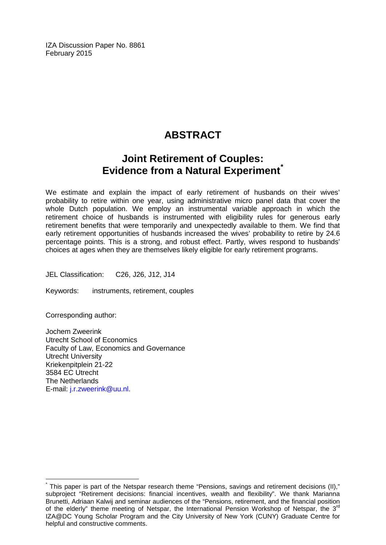IZA Discussion Paper No. 8861 February 2015

# **ABSTRACT**

# **Joint Retirement of Couples: Evidence from a Natural Experiment**

We estimate and explain the impact of early retirement of husbands on their wives' probability to retire within one year, using administrative micro panel data that cover the whole Dutch population. We employ an instrumental variable approach in which the retirement choice of husbands is instrumented with eligibility rules for generous early retirement benefits that were temporarily and unexpectedly available to them. We find that early retirement opportunities of husbands increased the wives' probability to retire by 24.6 percentage points. This is a strong, and robust effect. Partly, wives respond to husbands' choices at ages when they are themselves likely eligible for early retirement programs.

JEL Classification: C26, J26, J12, J14

Keywords: instruments, retirement, couples

Corresponding author:

Jochem Zweerink Utrecht School of Economics Faculty of Law, Economics and Governance Utrecht University Kriekenpitplein 21-22 3584 EC Utrecht The Netherlands E-mail: [j.r.zweerink@uu.nl.](mailto:j.r.zweerink@uu.nl)

This paper is part of the Netspar research theme "Pensions, savings and retirement decisions (II)," subproject "Retirement decisions: financial incentives, wealth and flexibility". We thank Marianna Brunetti, Adriaan Kalwij and seminar audiences of the "Pensions, retirement, and the financial position of the elderly" theme meeting of Netspar, the International Pension Workshop of Netspar, the  $3<sup>rd</sup>$ IZA@DC Young Scholar Program and the City University of New York (CUNY) Graduate Centre for helpful and constructive comments.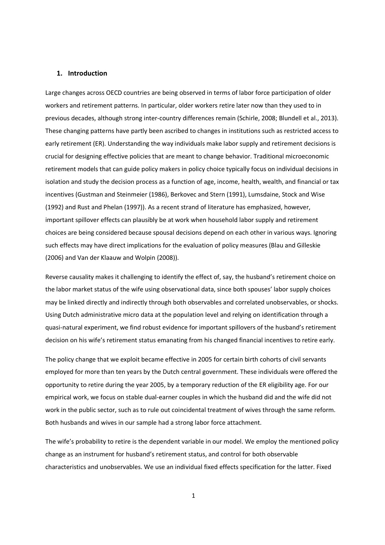#### **1. Introduction**

Large changes across OECD countries are being observed in terms of labor force participation of older workers and retirement patterns. In particular, older workers retire later now than they used to in previous decades, although strong inter-country differences remain (Schirle, 2008; Blundell et al., 2013). These changing patterns have partly been ascribed to changes in institutions such as restricted access to early retirement (ER). Understanding the way individuals make labor supply and retirement decisions is crucial for designing effective policies that are meant to change behavior. Traditional microeconomic retirement models that can guide policy makers in policy choice typically focus on individual decisions in isolation and study the decision process as a function of age, income, health, wealth, and financial or tax incentives (Gustman and Steinmeier (1986), Berkovec and Stern (1991), Lumsdaine, Stock and Wise (1992) and Rust and Phelan (1997)). As a recent strand of literature has emphasized, however, important spillover effects can plausibly be at work when household labor supply and retirement choices are being considered because spousal decisions depend on each other in various ways. Ignoring such effects may have direct implications for the evaluation of policy measures (Blau and Gilleskie (2006) and Van der Klaauw and Wolpin (2008)).

Reverse causality makes it challenging to identify the effect of, say, the husband's retirement choice on the labor market status of the wife using observational data, since both spouses' labor supply choices may be linked directly and indirectly through both observables and correlated unobservables, or shocks. Using Dutch administrative micro data at the population level and relying on identification through a quasi-natural experiment, we find robust evidence for important spillovers of the husband's retirement decision on his wife's retirement status emanating from his changed financial incentives to retire early.

The policy change that we exploit became effective in 2005 for certain birth cohorts of civil servants employed for more than ten years by the Dutch central government. These individuals were offered the opportunity to retire during the year 2005, by a temporary reduction of the ER eligibility age. For our empirical work, we focus on stable dual-earner couples in which the husband did and the wife did not work in the public sector, such as to rule out coincidental treatment of wives through the same reform. Both husbands and wives in our sample had a strong labor force attachment.

The wife's probability to retire is the dependent variable in our model. We employ the mentioned policy change as an instrument for husband's retirement status, and control for both observable characteristics and unobservables. We use an individual fixed effects specification for the latter. Fixed

1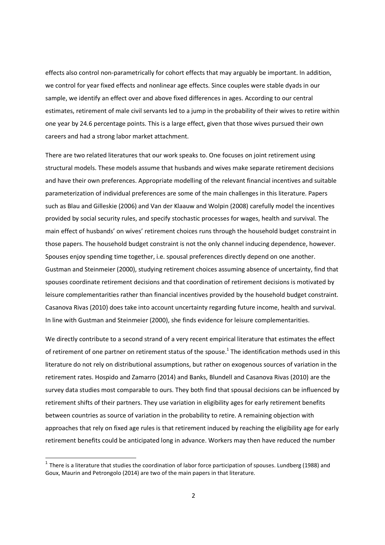effects also control non-parametrically for cohort effects that may arguably be important. In addition, we control for year fixed effects and nonlinear age effects. Since couples were stable dyads in our sample, we identify an effect over and above fixed differences in ages. According to our central estimates, retirement of male civil servants led to a jump in the probability of their wives to retire within one year by 24.6 percentage points. This is a large effect, given that those wives pursued their own careers and had a strong labor market attachment.

There are two related literatures that our work speaks to. One focuses on joint retirement using structural models. These models assume that husbands and wives make separate retirement decisions and have their own preferences. Appropriate modelling of the relevant financial incentives and suitable parameterization of individual preferences are some of the main challenges in this literature. Papers such as Blau and Gilleskie (2006) and Van der Klaauw and Wolpin (2008) carefully model the incentives provided by social security rules, and specify stochastic processes for wages, health and survival. The main effect of husbands' on wives' retirement choices runs through the household budget constraint in those papers. The household budget constraint is not the only channel inducing dependence, however. Spouses enjoy spending time together, i.e. spousal preferences directly depend on one another. Gustman and Steinmeier (2000), studying retirement choices assuming absence of uncertainty, find that spouses coordinate retirement decisions and that coordination of retirement decisions is motivated by leisure complementarities rather than financial incentives provided by the household budget constraint. Casanova Rivas (2010) does take into account uncertainty regarding future income, health and survival. In line with Gustman and Steinmeier (2000), she finds evidence for leisure complementarities.

We directly contribute to a second strand of a very recent empirical literature that estimates the effect of retirement of one partner on retirement status of the spouse.<sup>1</sup> The identification methods used in this literature do not rely on distributional assumptions, but rather on exogenous sources of variation in the retirement rates. Hospido and Zamarro (2014) and Banks, Blundell and Casanova Rivas (2010) are the survey data studies most comparable to ours. They both find that spousal decisions can be influenced by retirement shifts of their partners. They use variation in eligibility ages for early retirement benefits between countries as source of variation in the probability to retire. A remaining objection with approaches that rely on fixed age rules is that retirement induced by reaching the eligibility age for early retirement benefits could be anticipated long in advance. Workers may then have reduced the number

<u>.</u>

<sup>&</sup>lt;sup>1</sup> There is a literature that studies the coordination of labor force participation of spouses. Lundberg (1988) and Goux, Maurin and Petrongolo (2014) are two of the main papers in that literature.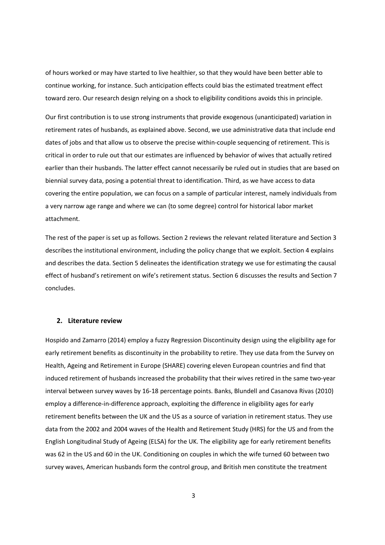of hours worked or may have started to live healthier, so that they would have been better able to continue working, for instance. Such anticipation effects could bias the estimated treatment effect toward zero. Our research design relying on a shock to eligibility conditions avoids this in principle.

Our first contribution is to use strong instruments that provide exogenous (unanticipated) variation in retirement rates of husbands, as explained above. Second, we use administrative data that include end dates of jobs and that allow us to observe the precise within-couple sequencing of retirement. This is critical in order to rule out that our estimates are influenced by behavior of wives that actually retired earlier than their husbands. The latter effect cannot necessarily be ruled out in studies that are based on biennial survey data, posing a potential threat to identification. Third, as we have access to data covering the entire population, we can focus on a sample of particular interest, namely individuals from a very narrow age range and where we can (to some degree) control for historical labor market attachment.

The rest of the paper is set up as follows. Section 2 reviews the relevant related literature and Section 3 describes the institutional environment, including the policy change that we exploit. Section 4 explains and describes the data. Section 5 delineates the identification strategy we use for estimating the causal effect of husband's retirement on wife's retirement status. Section 6 discusses the results and Section 7 concludes.

#### **2. Literature review**

Hospido and Zamarro (2014) employ a fuzzy Regression Discontinuity design using the eligibility age for early retirement benefits as discontinuity in the probability to retire. They use data from the Survey on Health, Ageing and Retirement in Europe (SHARE) covering eleven European countries and find that induced retirement of husbands increased the probability that their wives retired in the same two-year interval between survey waves by 16-18 percentage points. Banks, Blundell and Casanova Rivas (2010) employ a difference-in-difference approach, exploiting the difference in eligibility ages for early retirement benefits between the UK and the US as a source of variation in retirement status. They use data from the 2002 and 2004 waves of the Health and Retirement Study (HRS) for the US and from the English Longitudinal Study of Ageing (ELSA) for the UK. The eligibility age for early retirement benefits was 62 in the US and 60 in the UK. Conditioning on couples in which the wife turned 60 between two survey waves, American husbands form the control group, and British men constitute the treatment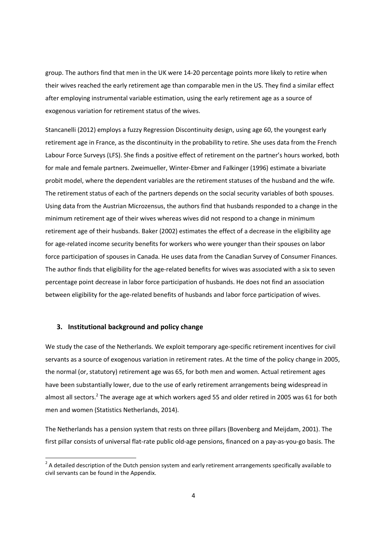group. The authors find that men in the UK were 14-20 percentage points more likely to retire when their wives reached the early retirement age than comparable men in the US. They find a similar effect after employing instrumental variable estimation, using the early retirement age as a source of exogenous variation for retirement status of the wives.

Stancanelli (2012) employs a fuzzy Regression Discontinuity design, using age 60, the youngest early retirement age in France, as the discontinuity in the probability to retire. She uses data from the French Labour Force Surveys (LFS). She finds a positive effect of retirement on the partner's hours worked, both for male and female partners. Zweimueller, Winter-Ebmer and Falkinger (1996) estimate a bivariate probit model, where the dependent variables are the retirement statuses of the husband and the wife. The retirement status of each of the partners depends on the social security variables of both spouses. Using data from the Austrian Microzensus, the authors find that husbands responded to a change in the minimum retirement age of their wives whereas wives did not respond to a change in minimum retirement age of their husbands. Baker (2002) estimates the effect of a decrease in the eligibility age for age-related income security benefits for workers who were younger than their spouses on labor force participation of spouses in Canada. He uses data from the Canadian Survey of Consumer Finances. The author finds that eligibility for the age-related benefits for wives was associated with a six to seven percentage point decrease in labor force participation of husbands. He does not find an association between eligibility for the age-related benefits of husbands and labor force participation of wives.

#### **3. Institutional background and policy change**

<u>.</u>

We study the case of the Netherlands. We exploit temporary age-specific retirement incentives for civil servants as a source of exogenous variation in retirement rates. At the time of the policy change in 2005, the normal (or, statutory) retirement age was 65, for both men and women. Actual retirement ages have been substantially lower, due to the use of early retirement arrangements being widespread in almost all sectors.<sup>2</sup> The average age at which workers aged 55 and older retired in 2005 was 61 for both men and women (Statistics Netherlands, 2014).

The Netherlands has a pension system that rests on three pillars (Bovenberg and Meijdam, 2001). The first pillar consists of universal flat-rate public old-age pensions, financed on a pay-as-you-go basis. The

 $2$  A detailed description of the Dutch pension system and early retirement arrangements specifically available to civil servants can be found in the Appendix.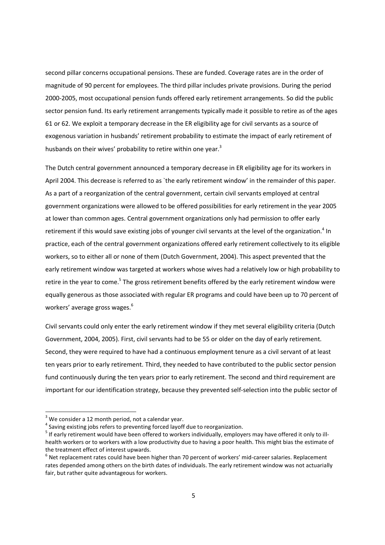second pillar concerns occupational pensions. These are funded. Coverage rates are in the order of magnitude of 90 percent for employees. The third pillar includes private provisions. During the period 2000-2005, most occupational pension funds offered early retirement arrangements. So did the public sector pension fund. Its early retirement arrangements typically made it possible to retire as of the ages 61 or 62. We exploit a temporary decrease in the ER eligibility age for civil servants as a source of exogenous variation in husbands' retirement probability to estimate the impact of early retirement of husbands on their wives' probability to retire within one year. $3$ 

The Dutch central government announced a temporary decrease in ER eligibility age for its workers in April 2004. This decrease is referred to as `the early retirement window' in the remainder of this paper. As a part of a reorganization of the central government, certain civil servants employed at central government organizations were allowed to be offered possibilities for early retirement in the year 2005 at lower than common ages. Central government organizations only had permission to offer early retirement if this would save existing jobs of younger civil servants at the level of the organization.<sup>4</sup> In practice, each of the central government organizations offered early retirement collectively to its eligible workers, so to either all or none of them (Dutch Government, 2004). This aspect prevented that the early retirement window was targeted at workers whose wives had a relatively low or high probability to retire in the year to come.<sup>5</sup> The gross retirement benefits offered by the early retirement window were equally generous as those associated with regular ER programs and could have been up to 70 percent of workers' average gross wages.<sup>6</sup>

Civil servants could only enter the early retirement window if they met several eligibility criteria (Dutch Government, 2004, 2005). First, civil servants had to be 55 or older on the day of early retirement. Second, they were required to have had a continuous employment tenure as a civil servant of at least ten years prior to early retirement. Third, they needed to have contributed to the public sector pension fund continuously during the ten years prior to early retirement. The second and third requirement are important for our identification strategy, because they prevented self-selection into the public sector of

.<br>-

 $3$  We consider a 12 month period, not a calendar year.

 $<sup>4</sup>$  Saving existing jobs refers to preventing forced layoff due to reorganization.</sup>

<sup>&</sup>lt;sup>5</sup> If early retirement would have been offered to workers individually, employers may have offered it only to illhealth workers or to workers with a low productivity due to having a poor health. This might bias the estimate of the treatment effect of interest upwards.

 $<sup>6</sup>$  Net replacement rates could have been higher than 70 percent of workers' mid-career salaries. Replacement</sup> rates depended among others on the birth dates of individuals. The early retirement window was not actuarially fair, but rather quite advantageous for workers.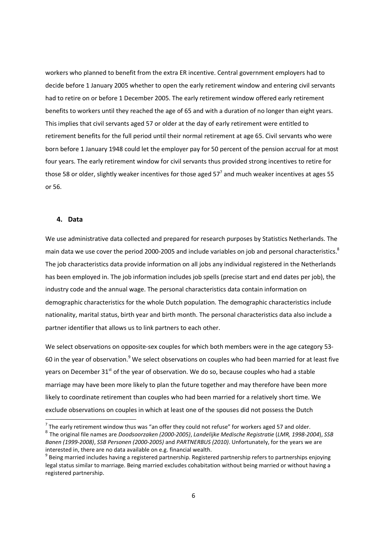workers who planned to benefit from the extra ER incentive. Central government employers had to decide before 1 January 2005 whether to open the early retirement window and entering civil servants had to retire on or before 1 December 2005. The early retirement window offered early retirement benefits to workers until they reached the age of 65 and with a duration of no longer than eight years. This implies that civil servants aged 57 or older at the day of early retirement were entitled to retirement benefits for the full period until their normal retirement at age 65. Civil servants who were born before 1 January 1948 could let the employer pay for 50 percent of the pension accrual for at most four years. The early retirement window for civil servants thus provided strong incentives to retire for those 58 or older, slightly weaker incentives for those aged 57<sup>7</sup> and much weaker incentives at ages 55 or 56.

#### **4. Data**

.<br>-

We use administrative data collected and prepared for research purposes by Statistics Netherlands. The main data we use cover the period 2000-2005 and include variables on job and personal characteristics.<sup>8</sup> The job characteristics data provide information on all jobs any individual registered in the Netherlands has been employed in. The job information includes job spells (precise start and end dates per job), the industry code and the annual wage. The personal characteristics data contain information on demographic characteristics for the whole Dutch population. The demographic characteristics include nationality, marital status, birth year and birth month. The personal characteristics data also include a partner identifier that allows us to link partners to each other.

We select observations on opposite-sex couples for which both members were in the age category 53- 60 in the year of observation.<sup>9</sup> We select observations on couples who had been married for at least five years on December  $31<sup>st</sup>$  of the year of observation. We do so, because couples who had a stable marriage may have been more likely to plan the future together and may therefore have been more likely to coordinate retirement than couples who had been married for a relatively short time. We exclude observations on couples in which at least one of the spouses did not possess the Dutch

 $<sup>7</sup>$  The early retirement window thus was "an offer they could not refuse" for workers aged 57 and older.</sup> 8 The original file names are *Doodsoorzaken (2000-2005)*, *Landelijke Medische Registratie* (*LMR, 1998-2004*), *SSB Banen (1999-2008)*, *SSB Personen (2000-2005)* and *PARTNERBUS (2010)*. Unfortunately, for the years we are interested in, there are no data available on e.g. financial wealth.

 $^9$  Being married includes having a registered partnership. Registered partnership refers to partnerships enjoying legal status similar to marriage. Being married excludes cohabitation without being married or without having a registered partnership.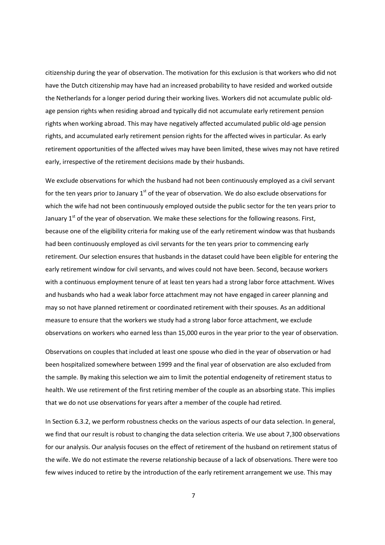citizenship during the year of observation. The motivation for this exclusion is that workers who did not have the Dutch citizenship may have had an increased probability to have resided and worked outside the Netherlands for a longer period during their working lives. Workers did not accumulate public oldage pension rights when residing abroad and typically did not accumulate early retirement pension rights when working abroad. This may have negatively affected accumulated public old-age pension rights, and accumulated early retirement pension rights for the affected wives in particular. As early retirement opportunities of the affected wives may have been limited, these wives may not have retired early, irrespective of the retirement decisions made by their husbands.

We exclude observations for which the husband had not been continuously employed as a civil servant for the ten years prior to January  $1<sup>st</sup>$  of the year of observation. We do also exclude observations for which the wife had not been continuously employed outside the public sector for the ten years prior to January  $1<sup>st</sup>$  of the year of observation. We make these selections for the following reasons. First, because one of the eligibility criteria for making use of the early retirement window was that husbands had been continuously employed as civil servants for the ten years prior to commencing early retirement. Our selection ensures that husbands in the dataset could have been eligible for entering the early retirement window for civil servants, and wives could not have been. Second, because workers with a continuous employment tenure of at least ten years had a strong labor force attachment. Wives and husbands who had a weak labor force attachment may not have engaged in career planning and may so not have planned retirement or coordinated retirement with their spouses. As an additional measure to ensure that the workers we study had a strong labor force attachment, we exclude observations on workers who earned less than 15,000 euros in the year prior to the year of observation.

Observations on couples that included at least one spouse who died in the year of observation or had been hospitalized somewhere between 1999 and the final year of observation are also excluded from the sample. By making this selection we aim to limit the potential endogeneity of retirement status to health. We use retirement of the first retiring member of the couple as an absorbing state. This implies that we do not use observations for years after a member of the couple had retired.

In Section 6.3.2, we perform robustness checks on the various aspects of our data selection. In general, we find that our result is robust to changing the data selection criteria. We use about 7,300 observations for our analysis. Our analysis focuses on the effect of retirement of the husband on retirement status of the wife. We do not estimate the reverse relationship because of a lack of observations. There were too few wives induced to retire by the introduction of the early retirement arrangement we use. This may

7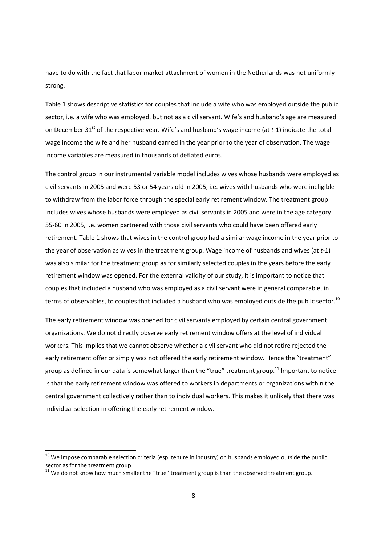have to do with the fact that labor market attachment of women in the Netherlands was not uniformly strong.

Table 1 shows descriptive statistics for couples that include a wife who was employed outside the public sector, i.e. a wife who was employed, but not as a civil servant. Wife's and husband's age are measured on December 31<sup>st</sup> of the respective year. Wife's and husband's wage income (at *t*-1) indicate the total wage income the wife and her husband earned in the year prior to the year of observation. The wage income variables are measured in thousands of deflated euros.

The control group in our instrumental variable model includes wives whose husbands were employed as civil servants in 2005 and were 53 or 54 years old in 2005, i.e. wives with husbands who were ineligible to withdraw from the labor force through the special early retirement window. The treatment group includes wives whose husbands were employed as civil servants in 2005 and were in the age category 55-60 in 2005, i.e. women partnered with those civil servants who could have been offered early retirement. Table 1 shows that wives in the control group had a similar wage income in the year prior to the year of observation as wives in the treatment group. Wage income of husbands and wives (at *t*-1) was also similar for the treatment group as for similarly selected couples in the years before the early retirement window was opened. For the external validity of our study, it is important to notice that couples that included a husband who was employed as a civil servant were in general comparable, in terms of observables, to couples that included a husband who was employed outside the public sector.<sup>10</sup>

The early retirement window was opened for civil servants employed by certain central government organizations. We do not directly observe early retirement window offers at the level of individual workers. This implies that we cannot observe whether a civil servant who did not retire rejected the early retirement offer or simply was not offered the early retirement window. Hence the "treatment" group as defined in our data is somewhat larger than the "true" treatment group.<sup>11</sup> Important to notice is that the early retirement window was offered to workers in departments or organizations within the central government collectively rather than to individual workers. This makes it unlikely that there was individual selection in offering the early retirement window.

<u>.</u>

 $^{10}$  We impose comparable selection criteria (esp. tenure in industry) on husbands employed outside the public sector as for the treatment group.

<sup>&</sup>lt;sup>11</sup> We do not know how much smaller the "true" treatment group is than the observed treatment group.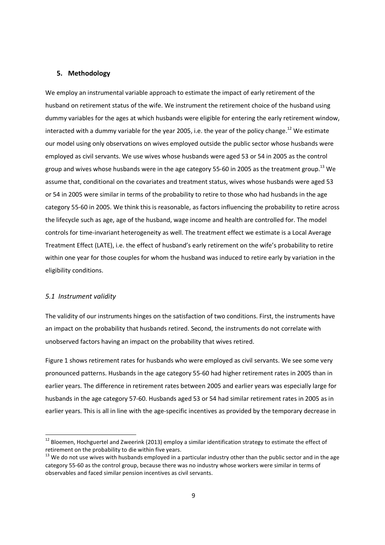### **5. Methodology**

We employ an instrumental variable approach to estimate the impact of early retirement of the husband on retirement status of the wife. We instrument the retirement choice of the husband using dummy variables for the ages at which husbands were eligible for entering the early retirement window, interacted with a dummy variable for the year 2005, i.e. the year of the policy change.<sup>12</sup> We estimate our model using only observations on wives employed outside the public sector whose husbands were employed as civil servants. We use wives whose husbands were aged 53 or 54 in 2005 as the control group and wives whose husbands were in the age category 55-60 in 2005 as the treatment group.<sup>13</sup> We assume that, conditional on the covariates and treatment status, wives whose husbands were aged 53 or 54 in 2005 were similar in terms of the probability to retire to those who had husbands in the age category 55-60 in 2005. We think this is reasonable, as factors influencing the probability to retire across the lifecycle such as age, age of the husband, wage income and health are controlled for. The model controls for time-invariant heterogeneity as well. The treatment effect we estimate is a Local Average Treatment Effect (LATE), i.e. the effect of husband's early retirement on the wife's probability to retire within one year for those couples for whom the husband was induced to retire early by variation in the eligibility conditions.

#### *5.1 Instrument validity*

<u>.</u>

The validity of our instruments hinges on the satisfaction of two conditions. First, the instruments have an impact on the probability that husbands retired. Second, the instruments do not correlate with unobserved factors having an impact on the probability that wives retired.

Figure 1 shows retirement rates for husbands who were employed as civil servants. We see some very pronounced patterns. Husbands in the age category 55-60 had higher retirement rates in 2005 than in earlier years. The difference in retirement rates between 2005 and earlier years was especially large for husbands in the age category 57-60. Husbands aged 53 or 54 had similar retirement rates in 2005 as in earlier years. This is all in line with the age-specific incentives as provided by the temporary decrease in

<sup>&</sup>lt;sup>12</sup> Bloemen, Hochguertel and Zweerink (2013) employ a similar identification strategy to estimate the effect of retirement on the probability to die within five years.

 $13$  We do not use wives with husbands employed in a particular industry other than the public sector and in the age category 55-60 as the control group, because there was no industry whose workers were similar in terms of observables and faced similar pension incentives as civil servants.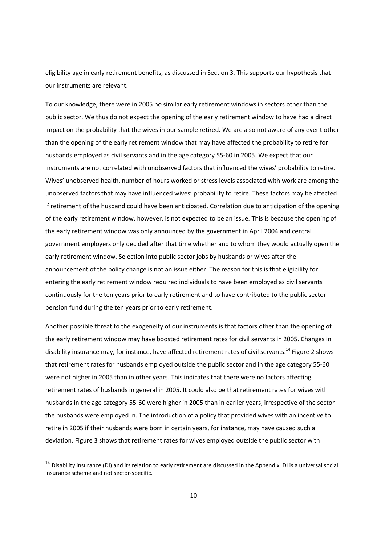eligibility age in early retirement benefits, as discussed in Section 3. This supports our hypothesis that our instruments are relevant.

To our knowledge, there were in 2005 no similar early retirement windows in sectors other than the public sector. We thus do not expect the opening of the early retirement window to have had a direct impact on the probability that the wives in our sample retired. We are also not aware of any event other than the opening of the early retirement window that may have affected the probability to retire for husbands employed as civil servants and in the age category 55-60 in 2005. We expect that our instruments are not correlated with unobserved factors that influenced the wives' probability to retire. Wives' unobserved health, number of hours worked or stress levels associated with work are among the unobserved factors that may have influenced wives' probability to retire. These factors may be affected if retirement of the husband could have been anticipated. Correlation due to anticipation of the opening of the early retirement window, however, is not expected to be an issue. This is because the opening of the early retirement window was only announced by the government in April 2004 and central government employers only decided after that time whether and to whom they would actually open the early retirement window. Selection into public sector jobs by husbands or wives after the announcement of the policy change is not an issue either. The reason for this is that eligibility for entering the early retirement window required individuals to have been employed as civil servants continuously for the ten years prior to early retirement and to have contributed to the public sector pension fund during the ten years prior to early retirement.

Another possible threat to the exogeneity of our instruments is that factors other than the opening of the early retirement window may have boosted retirement rates for civil servants in 2005. Changes in disability insurance may, for instance, have affected retirement rates of civil servants.<sup>14</sup> Figure 2 shows that retirement rates for husbands employed outside the public sector and in the age category 55-60 were not higher in 2005 than in other years. This indicates that there were no factors affecting retirement rates of husbands in general in 2005. It could also be that retirement rates for wives with husbands in the age category 55-60 were higher in 2005 than in earlier years, irrespective of the sector the husbands were employed in. The introduction of a policy that provided wives with an incentive to retire in 2005 if their husbands were born in certain years, for instance, may have caused such a deviation. Figure 3 shows that retirement rates for wives employed outside the public sector with

<u>.</u>

 $14$  Disability insurance (DI) and its relation to early retirement are discussed in the Appendix. DI is a universal social insurance scheme and not sector-specific.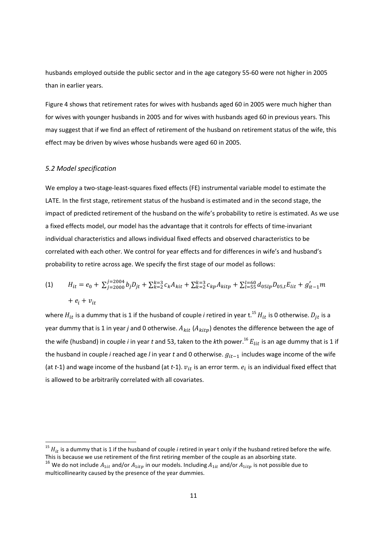husbands employed outside the public sector and in the age category 55-60 were not higher in 2005 than in earlier years.

Figure 4 shows that retirement rates for wives with husbands aged 60 in 2005 were much higher than for wives with younger husbands in 2005 and for wives with husbands aged 60 in previous years. This may suggest that if we find an effect of retirement of the husband on retirement status of the wife, this effect may be driven by wives whose husbands were aged 60 in 2005.

# *5.2 Model specification*

<u>.</u>

We employ a two-stage-least-squares fixed effects (FE) instrumental variable model to estimate the LATE. In the first stage, retirement status of the husband is estimated and in the second stage, the impact of predicted retirement of the husband on the wife's probability to retire is estimated. As we use a fixed effects model, our model has the advantage that it controls for effects of time-invariant individual characteristics and allows individual fixed effects and observed characteristics to be correlated with each other. We control for year effects and for differences in wife's and husband's probability to retire across age. We specify the first stage of our model as follows:

(1) 
$$
H_{it} = e_0 + \sum_{j=2000}^{j=2004} b_j D_{jt} + \sum_{k=2}^{k=3} c_k A_{kit} + \sum_{k=2}^{k=3} c_{kp} A_{kitp} + \sum_{l=55}^{l=60} d_{05lp} D_{05,t} E_{lit} + g'_{it-1} m
$$

$$
+ e_i + v_{it}
$$

where  $H_{it}$  is a dummy that is 1 if the husband of couple *i* retired in year t.<sup>15</sup>  $H_{it}$  is 0 otherwise.  $D_{it}$  is a year dummy that is 1 in year *j* and 0 otherwise.  $A_{kit}$  ( $A_{kitp}$ ) denotes the difference between the age of the wife (husband) in couple *i* in year *t* and 53, taken to the *k*th power.<sup>16</sup>  $E_{lit}$  is an age dummy that is 1 if the husband in couple *i* reached age *l* in year *t* and 0 otherwise.  $g_{it-1}$  includes wage income of the wife (at *t*-1) and wage income of the husband (at *t*-1).  $v_{it}$  is an error term.  $e_i$  is an individual fixed effect that is allowed to be arbitrarily correlated with all covariates.

 $15$   $H_{it}$  is a dummy that is 1 if the husband of couple *i* retired in year t only if the husband retired before the wife. This is because we use retirement of the first retiring member of the couple as an absorbing state.

<sup>&</sup>lt;sup>16</sup> We do not include  $A_{1it}$  and/or  $A_{1itp}$  in our models. Including  $A_{1it}$  and/or  $A_{1itp}$  is not possible due to multicollinearity caused by the presence of the year dummies.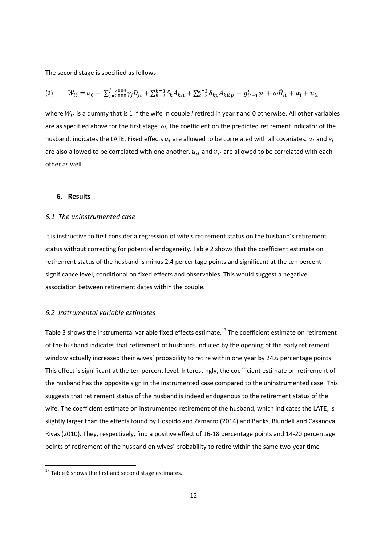The second stage is specified as follows:

$$
(2) \qquad W_{it} = \alpha_0 + \sum_{j=2000}^{j=2004} \gamma_j D_{jt} + \sum_{k=2}^{k=3} \delta_k A_{kit} + \sum_{k=2}^{k=3} \delta_{kp} A_{kitp} + g'_{it-1} \varphi + \omega \widehat{H}_{it} + \alpha_i + u_{it}
$$

where  $W_{it}$  is a dummy that is 1 if the wife in couple *i* retired in year  $t$  and 0 otherwise. All other variables are as specified above for the first stage.  $\omega$ , the coefficient on the predicted retirement indicator of the husband, indicates the LATE. Fixed effects  $\alpha_i$  are allowed to be correlated with all covariates.  $\alpha_i$  and  $e_i$ are also allowed to be correlated with one another.  $u_{it}$  and  $v_{it}$  are allowed to be correlated with each other as well.

### **6. Results**

# *6.1 The uninstrumented case*

It is instructive to first consider a regression of wife's retirement status on the husband's retirement status without correcting for potential endogeneity. Table 2 shows that the coefficient estimate on retirement status of the husband is minus 2.4 percentage points and significant at the ten percent significance level, conditional on fixed effects and observables. This would suggest a negative association between retirement dates within the couple.

#### *6.2 Instrumental variable estimates*

Table 3 shows the instrumental variable fixed effects estimate.<sup>17</sup> The coefficient estimate on retirement of the husband indicates that retirement of husbands induced by the opening of the early retirement window actually increased their wives' probability to retire within one year by 24.6 percentage points. This effect is significant at the ten percent level. Interestingly, the coefficient estimate on retirement of the husband has the opposite sign in the instrumented case compared to the uninstrumented case. This suggests that retirement status of the husband is indeed endogenous to the retirement status of the wife. The coefficient estimate on instrumented retirement of the husband, which indicates the LATE, is slightly larger than the effects found by Hospido and Zamarro (2014) and Banks, Blundell and Casanova Rivas (2010). They, respectively, find a positive effect of 16-18 percentage points and 14-20 percentage points of retirement of the husband on wives' probability to retire within the same two-year time

.<br>-

 $17$  Table 6 shows the first and second stage estimates.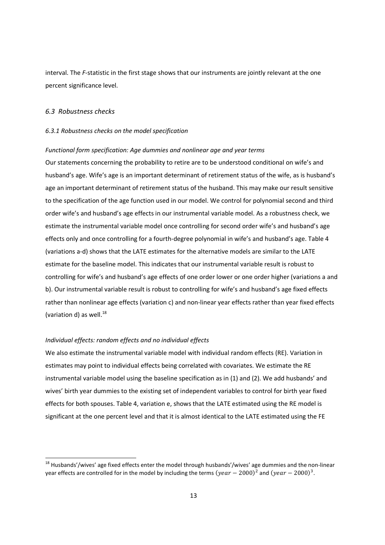interval. The *F-*statistic in the first stage shows that our instruments are jointly relevant at the one percent significance level.

# *6.3 Robustness checks*

<u>.</u>

#### *6.3.1 Robustness checks on the model specification*

#### *Functional form specification: Age dummies and nonlinear age and year terms*

Our statements concerning the probability to retire are to be understood conditional on wife's and husband's age. Wife's age is an important determinant of retirement status of the wife, as is husband's age an important determinant of retirement status of the husband. This may make our result sensitive to the specification of the age function used in our model. We control for polynomial second and third order wife's and husband's age effects in our instrumental variable model. As a robustness check, we estimate the instrumental variable model once controlling for second order wife's and husband's age effects only and once controlling for a fourth-degree polynomial in wife's and husband's age. Table 4 (variations a-d) shows that the LATE estimates for the alternative models are similar to the LATE estimate for the baseline model. This indicates that our instrumental variable result is robust to controlling for wife's and husband's age effects of one order lower or one order higher (variations a and b). Our instrumental variable result is robust to controlling for wife's and husband's age fixed effects rather than nonlinear age effects (variation c) and non-linear year effects rather than year fixed effects (variation d) as well. $^{18}$ 

#### *Individual effects: random effects and no individual effects*

We also estimate the instrumental variable model with individual random effects (RE). Variation in estimates may point to individual effects being correlated with covariates. We estimate the RE instrumental variable model using the baseline specification as in (1) and (2). We add husbands' and wives' birth year dummies to the existing set of independent variables to control for birth year fixed effects for both spouses. Table 4, variation e, shows that the LATE estimated using the RE model is significant at the one percent level and that it is almost identical to the LATE estimated using the FE

<sup>&</sup>lt;sup>18</sup> Husbands'/wives' age fixed effects enter the model through husbands'/wives' age dummies and the non-linear year effects are controlled for in the model by including the terms ( $year - 2000)^2$  and ( $year - 2000)^3$ .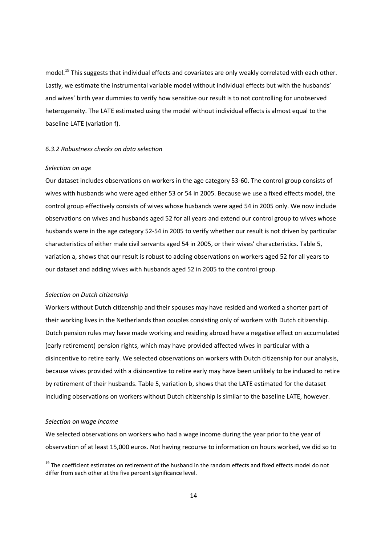model.<sup>19</sup> This suggests that individual effects and covariates are only weakly correlated with each other. Lastly, we estimate the instrumental variable model without individual effects but with the husbands' and wives' birth year dummies to verify how sensitive our result is to not controlling for unobserved heterogeneity. The LATE estimated using the model without individual effects is almost equal to the baseline LATE (variation f).

#### *6.3.2 Robustness checks on data selection*

#### *Selection on age*

Our dataset includes observations on workers in the age category 53-60. The control group consists of wives with husbands who were aged either 53 or 54 in 2005. Because we use a fixed effects model, the control group effectively consists of wives whose husbands were aged 54 in 2005 only. We now include observations on wives and husbands aged 52 for all years and extend our control group to wives whose husbands were in the age category 52-54 in 2005 to verify whether our result is not driven by particular characteristics of either male civil servants aged 54 in 2005, or their wives' characteristics. Table 5, variation a, shows that our result is robust to adding observations on workers aged 52 for all years to our dataset and adding wives with husbands aged 52 in 2005 to the control group.

#### *Selection on Dutch citizenship*

Workers without Dutch citizenship and their spouses may have resided and worked a shorter part of their working lives in the Netherlands than couples consisting only of workers with Dutch citizenship. Dutch pension rules may have made working and residing abroad have a negative effect on accumulated (early retirement) pension rights, which may have provided affected wives in particular with a disincentive to retire early. We selected observations on workers with Dutch citizenship for our analysis, because wives provided with a disincentive to retire early may have been unlikely to be induced to retire by retirement of their husbands. Table 5, variation b, shows that the LATE estimated for the dataset including observations on workers without Dutch citizenship is similar to the baseline LATE, however.

#### *Selection on wage income*

<u>.</u>

We selected observations on workers who had a wage income during the year prior to the year of observation of at least 15,000 euros. Not having recourse to information on hours worked, we did so to

<sup>&</sup>lt;sup>19</sup> The coefficient estimates on retirement of the husband in the random effects and fixed effects model do not differ from each other at the five percent significance level.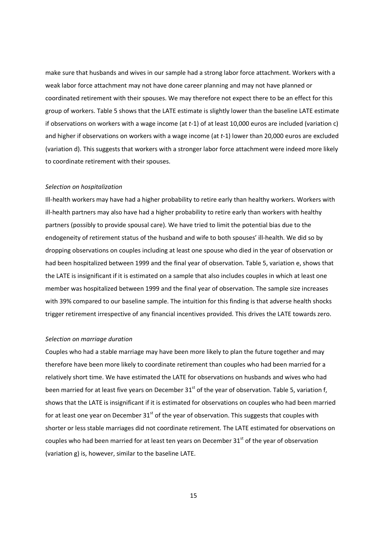make sure that husbands and wives in our sample had a strong labor force attachment. Workers with a weak labor force attachment may not have done career planning and may not have planned or coordinated retirement with their spouses. We may therefore not expect there to be an effect for this group of workers. Table 5 shows that the LATE estimate is slightly lower than the baseline LATE estimate if observations on workers with a wage income (at *t*-1) of at least 10,000 euros are included (variation c) and higher if observations on workers with a wage income (at *t*-1) lower than 20,000 euros are excluded (variation d). This suggests that workers with a stronger labor force attachment were indeed more likely to coordinate retirement with their spouses.

#### *Selection on hospitalization*

Ill-health workers may have had a higher probability to retire early than healthy workers. Workers with ill-health partners may also have had a higher probability to retire early than workers with healthy partners (possibly to provide spousal care). We have tried to limit the potential bias due to the endogeneity of retirement status of the husband and wife to both spouses' ill-health. We did so by dropping observations on couples including at least one spouse who died in the year of observation or had been hospitalized between 1999 and the final year of observation. Table 5, variation e, shows that the LATE is insignificant if it is estimated on a sample that also includes couples in which at least one member was hospitalized between 1999 and the final year of observation. The sample size increases with 39% compared to our baseline sample. The intuition for this finding is that adverse health shocks trigger retirement irrespective of any financial incentives provided. This drives the LATE towards zero.

#### *Selection on marriage duration*

Couples who had a stable marriage may have been more likely to plan the future together and may therefore have been more likely to coordinate retirement than couples who had been married for a relatively short time. We have estimated the LATE for observations on husbands and wives who had been married for at least five years on December  $31^{st}$  of the year of observation. Table 5, variation f, shows that the LATE is insignificant if it is estimated for observations on couples who had been married for at least one year on December  $31<sup>st</sup>$  of the year of observation. This suggests that couples with shorter or less stable marriages did not coordinate retirement. The LATE estimated for observations on couples who had been married for at least ten years on December  $31<sup>st</sup>$  of the year of observation (variation g) is, however, similar to the baseline LATE.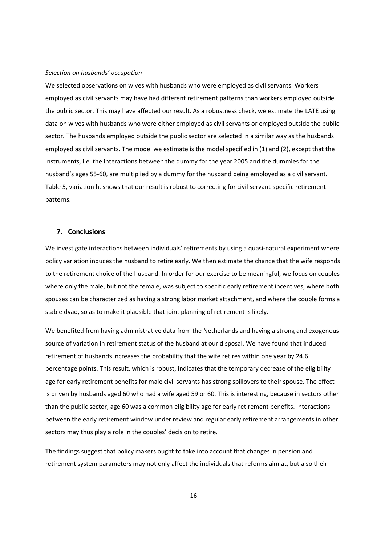#### *Selection on husbands' occupation*

We selected observations on wives with husbands who were employed as civil servants. Workers employed as civil servants may have had different retirement patterns than workers employed outside the public sector. This may have affected our result. As a robustness check, we estimate the LATE using data on wives with husbands who were either employed as civil servants or employed outside the public sector. The husbands employed outside the public sector are selected in a similar way as the husbands employed as civil servants. The model we estimate is the model specified in (1) and (2), except that the instruments, i.e. the interactions between the dummy for the year 2005 and the dummies for the husband's ages 55-60, are multiplied by a dummy for the husband being employed as a civil servant. Table 5, variation h, shows that our result is robust to correcting for civil servant-specific retirement patterns.

#### **7. Conclusions**

We investigate interactions between individuals' retirements by using a quasi-natural experiment where policy variation induces the husband to retire early. We then estimate the chance that the wife responds to the retirement choice of the husband. In order for our exercise to be meaningful, we focus on couples where only the male, but not the female, was subject to specific early retirement incentives, where both spouses can be characterized as having a strong labor market attachment, and where the couple forms a stable dyad, so as to make it plausible that joint planning of retirement is likely.

We benefited from having administrative data from the Netherlands and having a strong and exogenous source of variation in retirement status of the husband at our disposal. We have found that induced retirement of husbands increases the probability that the wife retires within one year by 24.6 percentage points. This result, which is robust, indicates that the temporary decrease of the eligibility age for early retirement benefits for male civil servants has strong spillovers to their spouse. The effect is driven by husbands aged 60 who had a wife aged 59 or 60. This is interesting, because in sectors other than the public sector, age 60 was a common eligibility age for early retirement benefits. Interactions between the early retirement window under review and regular early retirement arrangements in other sectors may thus play a role in the couples' decision to retire.

The findings suggest that policy makers ought to take into account that changes in pension and retirement system parameters may not only affect the individuals that reforms aim at, but also their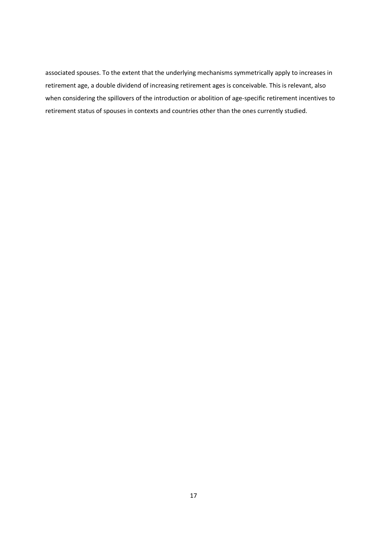associated spouses. To the extent that the underlying mechanisms symmetrically apply to increases in retirement age, a double dividend of increasing retirement ages is conceivable. This is relevant, also when considering the spillovers of the introduction or abolition of age-specific retirement incentives to retirement status of spouses in contexts and countries other than the ones currently studied.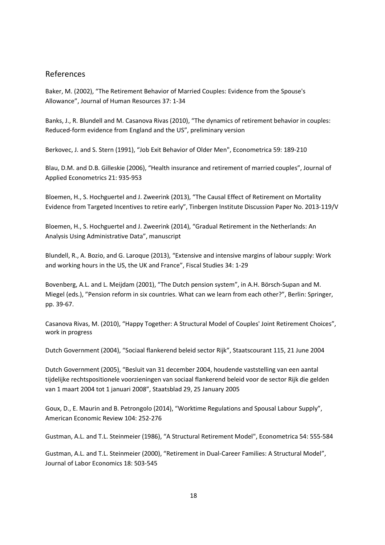# References

Baker, M. (2002), "The Retirement Behavior of Married Couples: Evidence from the Spouse's Allowance", Journal of Human Resources 37: 1-34

Banks, J., R. Blundell and M. Casanova Rivas (2010), "The dynamics of retirement behavior in couples: Reduced-form evidence from England and the US", preliminary version

Berkovec, J. and S. Stern (1991), "Job Exit Behavior of Older Men", Econometrica 59: 189-210

Blau, D.M. and D.B. Gilleskie (2006), "Health insurance and retirement of married couples", Journal of Applied Econometrics 21: 935-953

Bloemen, H., S. Hochguertel and J. Zweerink (2013), "The Causal Effect of Retirement on Mortality Evidence from Targeted Incentives to retire early", Tinbergen Institute Discussion Paper No. 2013-119/V

Bloemen, H., S. Hochguertel and J. Zweerink (2014), "Gradual Retirement in the Netherlands: An Analysis Using Administrative Data", manuscript

Blundell, R., A. Bozio, and G. Laroque (2013), "Extensive and intensive margins of labour supply: Work and working hours in the US, the UK and France", Fiscal Studies 34: 1-29

Bovenberg, A.L. and L. Meijdam (2001), "The Dutch pension system", in A.H. Börsch-Supan and M. Miegel (eds.), "Pension reform in six countries. What can we learn from each other?", Berlin: Springer, pp. 39-67.

Casanova Rivas, M. (2010), "Happy Together: A Structural Model of Couples' Joint Retirement Choices", work in progress

Dutch Government (2004), "Sociaal flankerend beleid sector Rijk", Staatscourant 115, 21 June 2004

Dutch Government (2005), "Besluit van 31 december 2004, houdende vaststelling van een aantal tijdelijke rechtspositionele voorzieningen van sociaal flankerend beleid voor de sector Rijk die gelden van 1 maart 2004 tot 1 januari 2008", Staatsblad 29, 25 January 2005

Goux, D., E. Maurin and B. Petrongolo (2014), "Worktime Regulations and Spousal Labour Supply", American Economic Review 104: 252-276

Gustman, A.L. and T.L. Steinmeier (1986), "A Structural Retirement Model", Econometrica 54: 555-584

Gustman, A.L. and T.L. Steinmeier (2000), "Retirement in Dual-Career Families: A Structural Model", Journal of Labor Economics 18: 503-545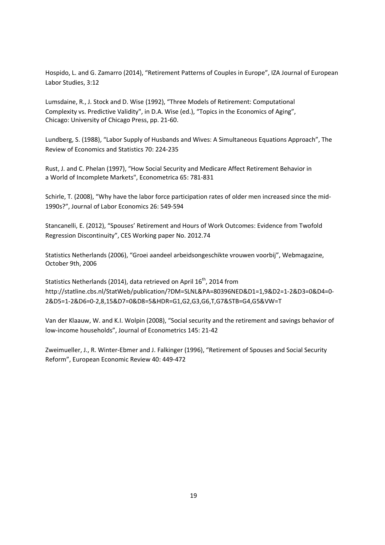Hospido, L. and G. Zamarro (2014), "Retirement Patterns of Couples in Europe", IZA Journal of European Labor Studies, 3:12

Lumsdaine, R., J. Stock and D. Wise (1992), "Three Models of Retirement: Computational Complexity vs. Predictive Validity", in D.A. Wise (ed.), "Topics in the Economics of Aging", Chicago: University of Chicago Press, pp. 21-60.

Lundberg, S. (1988), "Labor Supply of Husbands and Wives: A Simultaneous Equations Approach", The Review of Economics and Statistics 70: 224-235

Rust, J. and C. Phelan (1997), "How Social Security and Medicare Affect Retirement Behavior in a World of Incomplete Markets", Econometrica 65: 781-831

Schirle, T. (2008), "Why have the labor force participation rates of older men increased since the mid-1990s?", Journal of Labor Economics 26: 549-594

Stancanelli, E. (2012), "Spouses' Retirement and Hours of Work Outcomes: Evidence from Twofold Regression Discontinuity", CES Working paper No. 2012.74

Statistics Netherlands (2006), "Groei aandeel arbeidsongeschikte vrouwen voorbij", Webmagazine, October 9th, 2006

Statistics Netherlands (2014), data retrieved on April  $16<sup>th</sup>$ , 2014 from http://statline.cbs.nl/StatWeb/publication/?DM=SLNL&PA=80396NED&D1=1,9&D2=1-2&D3=0&D4=0- 2&D5=1-2&D6=0-2,8,15&D7=0&D8=5&HDR=G1,G2,G3,G6,T,G7&STB=G4,G5&VW=T

Van der Klaauw, W. and K.I. Wolpin (2008), "Social security and the retirement and savings behavior of low-income households", Journal of Econometrics 145: 21-42

Zweimueller, J., R. Winter-Ebmer and J. Falkinger (1996), "Retirement of Spouses and Social Security Reform", European Economic Review 40: 449-472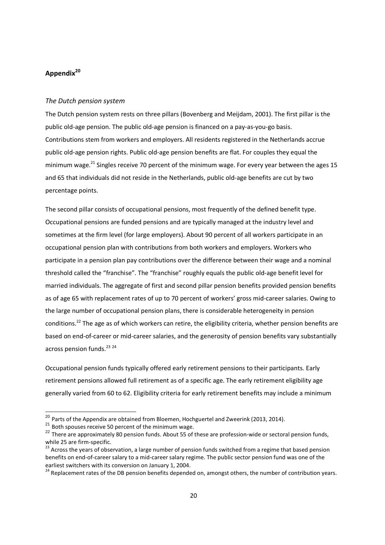# **Appendix<sup>20</sup>**

### *The Dutch pension system*

The Dutch pension system rests on three pillars (Bovenberg and Meijdam, 2001). The first pillar is the public old-age pension. The public old-age pension is financed on a pay-as-you-go basis. Contributions stem from workers and employers. All residents registered in the Netherlands accrue public old-age pension rights. Public old-age pension benefits are flat. For couples they equal the minimum wage.<sup>21</sup> Singles receive 70 percent of the minimum wage. For every year between the ages 15 and 65 that individuals did not reside in the Netherlands, public old-age benefits are cut by two percentage points.

The second pillar consists of occupational pensions, most frequently of the defined benefit type. Occupational pensions are funded pensions and are typically managed at the industry level and sometimes at the firm level (for large employers). About 90 percent of all workers participate in an occupational pension plan with contributions from both workers and employers. Workers who participate in a pension plan pay contributions over the difference between their wage and a nominal threshold called the "franchise". The "franchise" roughly equals the public old-age benefit level for married individuals. The aggregate of first and second pillar pension benefits provided pension benefits as of age 65 with replacement rates of up to 70 percent of workers' gross mid-career salaries. Owing to the large number of occupational pension plans, there is considerable heterogeneity in pension conditions.<sup>22</sup> The age as of which workers can retire, the eligibility criteria, whether pension benefits are based on end-of-career or mid-career salaries, and the generosity of pension benefits vary substantially across pension funds.<sup>23</sup> 24

Occupational pension funds typically offered early retirement pensions to their participants. Early retirement pensions allowed full retirement as of a specific age. The early retirement eligibility age generally varied from 60 to 62. Eligibility criteria for early retirement benefits may include a minimum

.<br>-

 $^{20}$  Parts of the Appendix are obtained from Bloemen, Hochguertel and Zweerink (2013, 2014).

 $21$  Both spouses receive 50 percent of the minimum wage.

<sup>&</sup>lt;sup>22</sup> There are approximately 80 pension funds. About 55 of these are profession-wide or sectoral pension funds, while 25 are firm-specific.

<sup>&</sup>lt;sup>23</sup> Across the years of observation, a large number of pension funds switched from a regime that based pension benefits on end-of-career salary to a mid-career salary regime. The public sector pension fund was one of the earliest switchers with its conversion on January 1, 2004.

earliest switchers with its conversion birstness,  $\frac{1}{2}$  =  $\frac{1}{2}$  in the number of contribution years.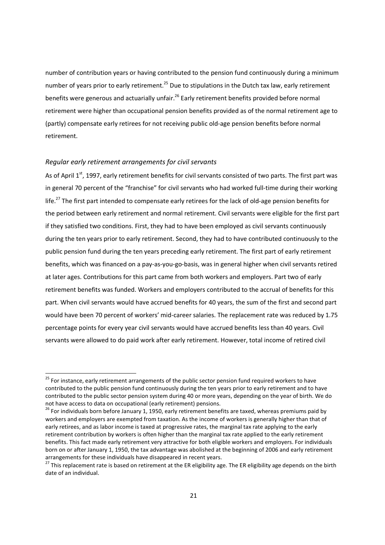number of contribution years or having contributed to the pension fund continuously during a minimum number of years prior to early retirement.<sup>25</sup> Due to stipulations in the Dutch tax law, early retirement benefits were generous and actuarially unfair.<sup>26</sup> Early retirement benefits provided before normal retirement were higher than occupational pension benefits provided as of the normal retirement age to (partly) compensate early retirees for not receiving public old-age pension benefits before normal retirement.

# *Regular early retirement arrangements for civil servants*

.<br>-

As of April 1<sup>st</sup>, 1997, early retirement benefits for civil servants consisted of two parts. The first part was in general 70 percent of the "franchise" for civil servants who had worked full-time during their working life.<sup>27</sup> The first part intended to compensate early retirees for the lack of old-age pension benefits for the period between early retirement and normal retirement. Civil servants were eligible for the first part if they satisfied two conditions. First, they had to have been employed as civil servants continuously during the ten years prior to early retirement. Second, they had to have contributed continuously to the public pension fund during the ten years preceding early retirement. The first part of early retirement benefits, which was financed on a pay-as-you-go-basis, was in general higher when civil servants retired at later ages. Contributions for this part came from both workers and employers. Part two of early retirement benefits was funded. Workers and employers contributed to the accrual of benefits for this part. When civil servants would have accrued benefits for 40 years, the sum of the first and second part would have been 70 percent of workers' mid-career salaries. The replacement rate was reduced by 1.75 percentage points for every year civil servants would have accrued benefits less than 40 years. Civil servants were allowed to do paid work after early retirement. However, total income of retired civil

<sup>&</sup>lt;sup>25</sup> For instance, early retirement arrangements of the public sector pension fund required workers to have contributed to the public pension fund continuously during the ten years prior to early retirement and to have contributed to the public sector pension system during 40 or more years, depending on the year of birth. We do not have access to data on occupational (early retirement) pensions.

<sup>26</sup> For individuals born before January 1, 1950, early retirement benefits are taxed, whereas premiums paid by workers and employers are exempted from taxation. As the income of workers is generally higher than that of early retirees, and as labor income is taxed at progressive rates, the marginal tax rate applying to the early retirement contribution by workers is often higher than the marginal tax rate applied to the early retirement benefits. This fact made early retirement very attractive for both eligible workers and employers. For individuals born on or after January 1, 1950, the tax advantage was abolished at the beginning of 2006 and early retirement arrangements for these individuals have disappeared in recent years.

<sup>&</sup>lt;sup>27</sup> This replacement rate is based on retirement at the ER eligibility age. The ER eligibility age depends on the birth date of an individual.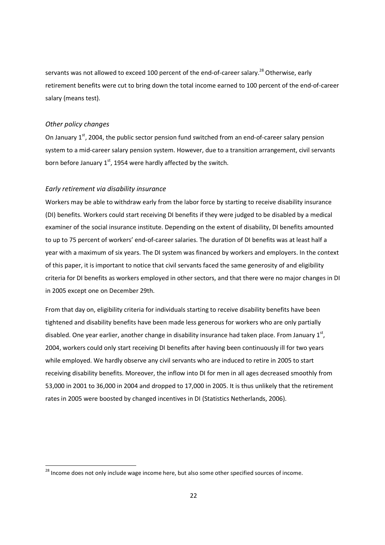servants was not allowed to exceed 100 percent of the end-of-career salary.<sup>28</sup> Otherwise, early retirement benefits were cut to bring down the total income earned to 100 percent of the end-of-career salary (means test).

# *Other policy changes*

.<br>-

On January 1<sup>st</sup>, 2004, the public sector pension fund switched from an end-of-career salary pension system to a mid-career salary pension system. However, due to a transition arrangement, civil servants born before January  $1<sup>st</sup>$ , 1954 were hardly affected by the switch.

### *Early retirement via disability insurance*

Workers may be able to withdraw early from the labor force by starting to receive disability insurance (DI) benefits. Workers could start receiving DI benefits if they were judged to be disabled by a medical examiner of the social insurance institute. Depending on the extent of disability, DI benefits amounted to up to 75 percent of workers' end-of-career salaries. The duration of DI benefits was at least half a year with a maximum of six years. The DI system was financed by workers and employers. In the context of this paper, it is important to notice that civil servants faced the same generosity of and eligibility criteria for DI benefits as workers employed in other sectors, and that there were no major changes in DI in 2005 except one on December 29th.

From that day on, eligibility criteria for individuals starting to receive disability benefits have been tightened and disability benefits have been made less generous for workers who are only partially disabled. One year earlier, another change in disability insurance had taken place. From January  $1<sup>st</sup>$ , 2004, workers could only start receiving DI benefits after having been continuously ill for two years while employed. We hardly observe any civil servants who are induced to retire in 2005 to start receiving disability benefits. Moreover, the inflow into DI for men in all ages decreased smoothly from 53,000 in 2001 to 36,000 in 2004 and dropped to 17,000 in 2005. It is thus unlikely that the retirement rates in 2005 were boosted by changed incentives in DI (Statistics Netherlands, 2006).

 $^{28}$  Income does not only include wage income here, but also some other specified sources of income.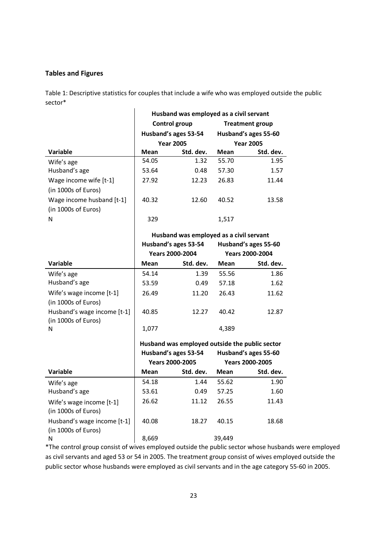# **Tables and Figures**

Table 1: Descriptive statistics for couples that include a wife who was employed outside the public sector\*

|                           | Husband was employed as a civil servant |                      |                      |                  |  |  |
|---------------------------|-----------------------------------------|----------------------|----------------------|------------------|--|--|
|                           | Control group<br><b>Treatment group</b> |                      |                      |                  |  |  |
|                           |                                         | Husband's ages 53-54 | Husband's ages 55-60 |                  |  |  |
|                           |                                         | <b>Year 2005</b>     |                      | <b>Year 2005</b> |  |  |
| Variable                  | Mean                                    | Std. dev.            | Mean                 | Std. dev.        |  |  |
| Wife's age                | 54.05                                   | 1.32                 | 55.70                | 1.95             |  |  |
| Husband's age             | 53.64                                   | 0.48                 | 57.30                | 1.57             |  |  |
| Wage income wife $[t-1]$  | 27.92                                   | 12.23                | 26.83                | 11.44            |  |  |
| (in 1000s of Euros)       |                                         |                      |                      |                  |  |  |
| Wage income husband [t-1] | 40.32                                   | 12.60                | 40.52                | 13.58            |  |  |
| (in 1000s of Euros)       |                                         |                      |                      |                  |  |  |
| N                         | 329                                     |                      | 1,517                |                  |  |  |

**Husband was employed as a civil servant** 

|                                                    |       | Husband's ages 53-54<br>Husband's ages 55-60<br><b>Years 2000-2004</b><br><b>Years 2000-2004</b> |       |           |
|----------------------------------------------------|-------|--------------------------------------------------------------------------------------------------|-------|-----------|
| <b>Variable</b>                                    | Mean  | Std. dev.                                                                                        | Mean  | Std. dev. |
| Wife's age                                         | 54.14 | 1.39                                                                                             | 55.56 | 1.86      |
| Husband's age                                      | 53.59 | 0.49                                                                                             | 57.18 | 1.62      |
| Wife's wage income [t-1]<br>(in 1000s of Euros)    | 26.49 | 11.20                                                                                            | 26.43 | 11.62     |
| Husband's wage income [t-1]<br>(in 1000s of Euros) | 40.85 | 12.27                                                                                            | 40.42 | 12.87     |
| N                                                  | 1,077 |                                                                                                  | 4,389 |           |

 $\overline{\phantom{a}}$ 

|                                                    |       | Husband's ages 53-54<br><b>Years 2000-2005</b> |        | Husband was employed outside the public sector<br>Husband's ages 55-60<br><b>Years 2000-2005</b> |  |  |
|----------------------------------------------------|-------|------------------------------------------------|--------|--------------------------------------------------------------------------------------------------|--|--|
| <b>Variable</b>                                    | Mean  | Std. dev.                                      | Mean   | Std. dev.                                                                                        |  |  |
| Wife's age                                         | 54.18 | 1.44                                           | 55.62  | 1.90                                                                                             |  |  |
| Husband's age                                      | 53.61 | 0.49                                           | 57.25  | 1.60                                                                                             |  |  |
| Wife's wage income [t-1]<br>(in 1000s of Euros)    | 26.62 | 11.12                                          | 26.55  | 11.43                                                                                            |  |  |
| Husband's wage income [t-1]<br>(in 1000s of Euros) | 40.08 | 18.27                                          | 40.15  | 18.68                                                                                            |  |  |
| N                                                  | 8.669 |                                                | 39.449 |                                                                                                  |  |  |

\*The control group consist of wives employed outside the public sector whose husbands were employed as civil servants and aged 53 or 54 in 2005. The treatment group consist of wives employed outside the public sector whose husbands were employed as civil servants and in the age category 55-60 in 2005.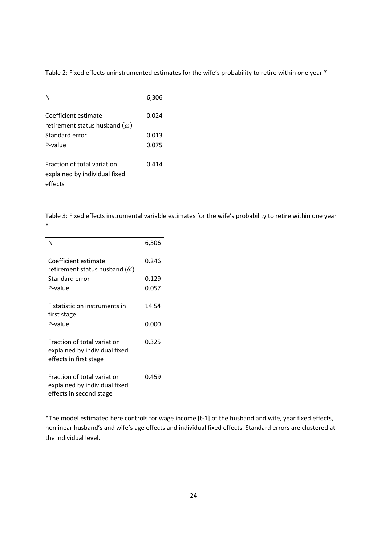Table 2: Fixed effects uninstrumented estimates for the wife's probability to retire within one year \*

| N                                                            | 6,306  |
|--------------------------------------------------------------|--------|
| Coefficient estimate<br>retirement status husband $(\omega)$ | -0.024 |
|                                                              |        |
| Standard error                                               | 0.013  |
| P-value                                                      | 0.075  |
|                                                              |        |
| <b>Fraction of total variation</b>                           | 0.414  |
| explained by individual fixed                                |        |
|                                                              |        |
| effects                                                      |        |

Table 3: Fixed effects instrumental variable estimates for the wife's probability to retire within one year \*

| N                                                                                       | 6,306 |
|-----------------------------------------------------------------------------------------|-------|
| Coefficient estimate<br>retirement status husband ( $\widehat{\omega}$ )                | 0.246 |
| Standard error                                                                          | 0.129 |
| P-value                                                                                 | 0.057 |
| <b>F</b> statistic on instruments in<br>first stage                                     | 14.54 |
| P-value                                                                                 | 0.000 |
| Fraction of total variation<br>explained by individual fixed<br>effects in first stage  | 0.325 |
| Fraction of total variation<br>explained by individual fixed<br>effects in second stage | 0.459 |

\*The model estimated here controls for wage income [t-1] of the husband and wife, year fixed effects, nonlinear husband's and wife's age effects and individual fixed effects. Standard errors are clustered at the individual level.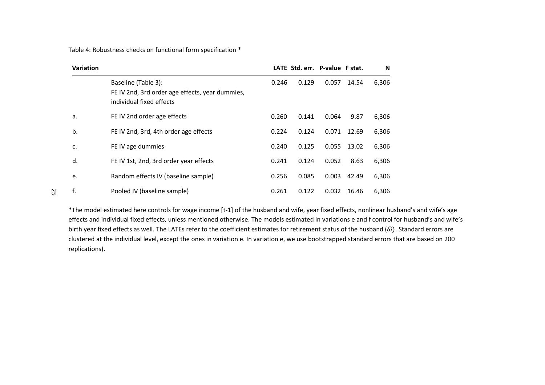Table 4: Robustness checks on functional form specification \*

| <b>Variation</b> |                                                                                                    |       |       | LATE Std. err. P-value F stat. |       | N     |
|------------------|----------------------------------------------------------------------------------------------------|-------|-------|--------------------------------|-------|-------|
|                  | Baseline (Table 3):<br>FE IV 2nd, 3rd order age effects, year dummies,<br>individual fixed effects | 0.246 | 0.129 | 0.057                          | 14.54 | 6,306 |
| a.               | FE IV 2nd order age effects                                                                        | 0.260 | 0.141 | 0.064                          | 9.87  | 6,306 |
| b.               | FE IV 2nd, 3rd, 4th order age effects                                                              | 0.224 | 0.124 | 0.071                          | 12.69 | 6,306 |
| c.               | FE IV age dummies                                                                                  | 0.240 | 0.125 | 0.055                          | 13.02 | 6,306 |
| d.               | FE IV 1st, 2nd, 3rd order year effects                                                             | 0.241 | 0.124 | 0.052                          | 8.63  | 6,306 |
| e.               | Random effects IV (baseline sample)                                                                | 0.256 | 0.085 | 0.003                          | 42.49 | 6,306 |
| f.               | Pooled IV (baseline sample)                                                                        | 0.261 | 0.122 | 0.032                          | 16.46 | 6,306 |

\*The model estimated here controls for wage income [t-1] of the husband and wife, year fixed effects, nonlinear husband's and wife's age effects and individual fixed effects, unless mentioned otherwise. The models estimated in variations e and f control for husband's and wife's birth year fixed effects as well. The LATEs refer to the coefficient estimates for retirement status of the husband ( $\hat{\omega}$ ). Standard errors are clustered at the individual level, except the ones in variation e. In variation e, we use bootstrapped standard errors that are based on 200 replications).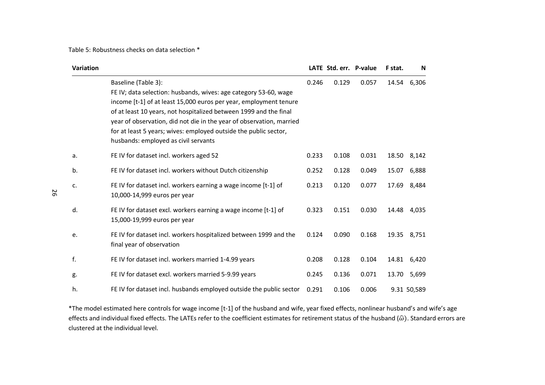Table 5: Robustness checks on data selection \*

| Variation |                                                                                                                                                                                                                                                                                                                                                                                                                       |       | LATE Std. err. P-value |       | F stat. | N           |
|-----------|-----------------------------------------------------------------------------------------------------------------------------------------------------------------------------------------------------------------------------------------------------------------------------------------------------------------------------------------------------------------------------------------------------------------------|-------|------------------------|-------|---------|-------------|
|           | Baseline (Table 3):<br>FE IV; data selection: husbands, wives: age category 53-60, wage<br>income [t-1] of at least 15,000 euros per year, employment tenure<br>of at least 10 years, not hospitalized between 1999 and the final<br>year of observation, did not die in the year of observation, married<br>for at least 5 years; wives: employed outside the public sector,<br>husbands: employed as civil servants | 0.246 | 0.129                  | 0.057 | 14.54   | 6,306       |
| a.        | FE IV for dataset incl. workers aged 52                                                                                                                                                                                                                                                                                                                                                                               | 0.233 | 0.108                  | 0.031 |         | 18.50 8,142 |
| b.        | FE IV for dataset incl. workers without Dutch citizenship                                                                                                                                                                                                                                                                                                                                                             | 0.252 | 0.128                  | 0.049 | 15.07   | 6,888       |
| c.        | FE IV for dataset incl. workers earning a wage income [t-1] of<br>10,000-14,999 euros per year                                                                                                                                                                                                                                                                                                                        | 0.213 | 0.120                  | 0.077 |         | 17.69 8,484 |
| d.        | FE IV for dataset excl. workers earning a wage income [t-1] of<br>15,000-19,999 euros per year                                                                                                                                                                                                                                                                                                                        | 0.323 | 0.151                  | 0.030 | 14.48   | 4,035       |
| e.        | FE IV for dataset incl. workers hospitalized between 1999 and the<br>final year of observation                                                                                                                                                                                                                                                                                                                        | 0.124 | 0.090                  | 0.168 |         | 19.35 8,751 |
| f.        | FE IV for dataset incl. workers married 1-4.99 years                                                                                                                                                                                                                                                                                                                                                                  | 0.208 | 0.128                  | 0.104 | 14.81   | 6,420       |
| g.        | FE IV for dataset excl. workers married 5-9.99 years                                                                                                                                                                                                                                                                                                                                                                  | 0.245 | 0.136                  | 0.071 | 13.70   | 5,699       |
| h.        | FE IV for dataset incl. husbands employed outside the public sector                                                                                                                                                                                                                                                                                                                                                   | 0.291 | 0.106                  | 0.006 |         | 9.31 50,589 |

\*The model estimated here controls for wage income [t-1] of the husband and wife, year fixed effects, nonlinear husband's and wife's age effects and individual fixed effects. The LATEs refer to the coefficient estimates for retirement status of the husband ( $\hat{\omega}$ ). Standard errors are clustered at the individual level.

26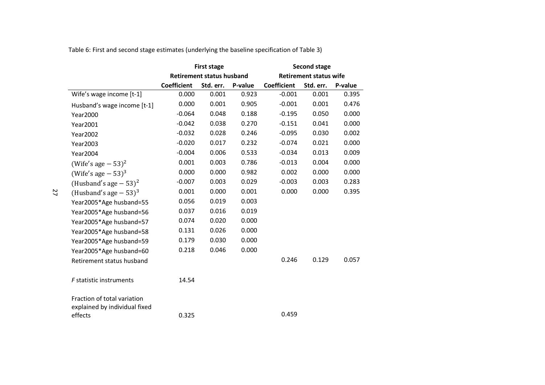|  |  | Table 6: First and second stage estimates (underlying the baseline specification of Table 3) |
|--|--|----------------------------------------------------------------------------------------------|

|                                          | <b>First stage</b>               |           |         | <b>Second stage</b> |                               |         |  |
|------------------------------------------|----------------------------------|-----------|---------|---------------------|-------------------------------|---------|--|
|                                          | <b>Retirement status husband</b> |           |         |                     | <b>Retirement status wife</b> |         |  |
|                                          | <b>Coefficient</b>               | Std. err. | P-value | <b>Coefficient</b>  | Std. err.                     | P-value |  |
| Wife's wage income [t-1]                 | 0.000                            | 0.001     | 0.923   | $-0.001$            | 0.001                         | 0.395   |  |
| Husband's wage income [t-1]              | 0.000                            | 0.001     | 0.905   | $-0.001$            | 0.001                         | 0.476   |  |
| Year2000                                 | $-0.064$                         | 0.048     | 0.188   | $-0.195$            | 0.050                         | 0.000   |  |
| Year2001                                 | $-0.042$                         | 0.038     | 0.270   | $-0.151$            | 0.041                         | 0.000   |  |
| <b>Year2002</b>                          | $-0.032$                         | 0.028     | 0.246   | $-0.095$            | 0.030                         | 0.002   |  |
| <b>Year2003</b>                          | $-0.020$                         | 0.017     | 0.232   | $-0.074$            | 0.021                         | 0.000   |  |
| <b>Year2004</b>                          | $-0.004$                         | 0.006     | 0.533   | $-0.034$            | 0.013                         | 0.009   |  |
| (Wife's age $-53$ ) <sup>2</sup>         | 0.001                            | 0.003     | 0.786   | $-0.013$            | 0.004                         | 0.000   |  |
| (Wife's age $-53$ ) <sup>3</sup>         | 0.000                            | 0.000     | 0.982   | 0.002               | 0.000                         | 0.000   |  |
| (Husband's age $-53$ ) <sup>2</sup>      | $-0.007$                         | 0.003     | 0.029   | $-0.003$            | 0.003                         | 0.283   |  |
| (Husband's age $-53$ ) <sup>3</sup>      | 0.001                            | 0.000     | 0.001   | 0.000               | 0.000                         | 0.395   |  |
| Year2005*Age husband=55                  | 0.056                            | 0.019     | 0.003   |                     |                               |         |  |
| Year2005*Age husband=56                  | 0.037                            | 0.016     | 0.019   |                     |                               |         |  |
| Year2005*Age husband=57                  | 0.074                            | 0.020     | 0.000   |                     |                               |         |  |
| Year2005*Age husband=58                  | 0.131                            | 0.026     | 0.000   |                     |                               |         |  |
| Year2005*Age husband=59                  | 0.179                            | 0.030     | 0.000   |                     |                               |         |  |
| Year2005*Age husband=60                  | 0.218                            | 0.046     | 0.000   |                     |                               |         |  |
| Retirement status husband                |                                  |           |         | 0.246               | 0.129                         | 0.057   |  |
| F statistic instruments                  | 14.54                            |           |         |                     |                               |         |  |
| Fraction of total variation              |                                  |           |         |                     |                               |         |  |
| explained by individual fixed<br>effects | 0.325                            |           |         | 0.459               |                               |         |  |

27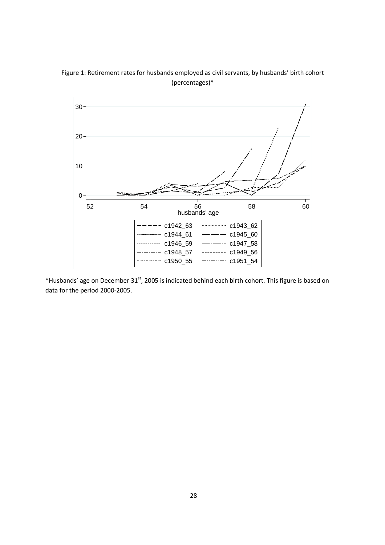Figure 1: Retirement rates for husbands employed as civil servants, by husbands' birth cohort (percentages)\*



\*Husbands' age on December 31<sup>st</sup>, 2005 is indicated behind each birth cohort. This figure is based on data for the period 2000-2005.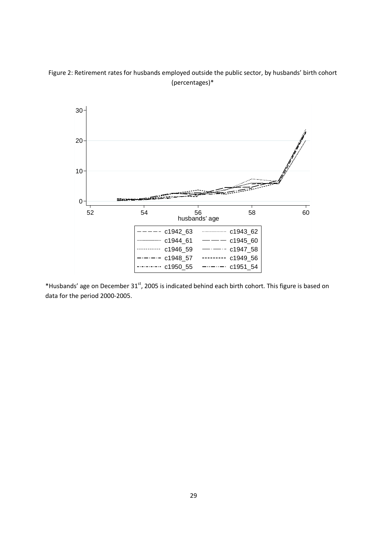Figure 2: Retirement rates for husbands employed outside the public sector, by husbands' birth cohort (percentages)\*



\*Husbands' age on December 31st, 2005 is indicated behind each birth cohort. This figure is based on data for the period 2000-2005.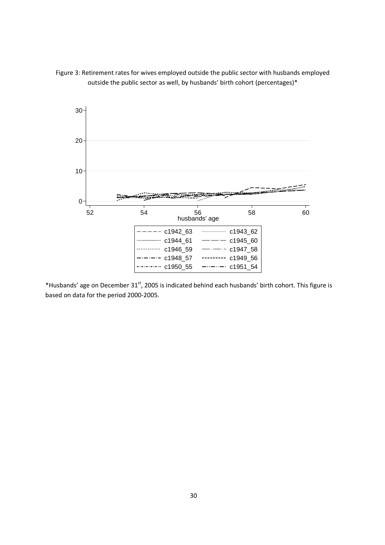



\*Husbands' age on December 31<sup>st</sup>, 2005 is indicated behind each husbands' birth cohort. This figure is based on data for the period 2000-2005.